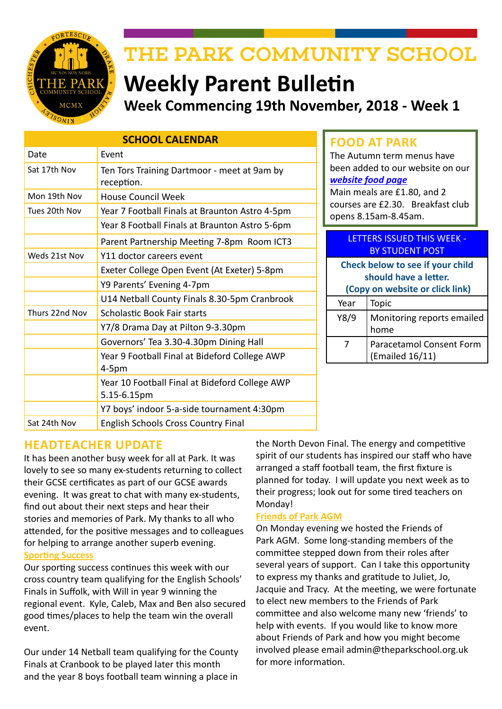

# THE PARK COMMUNITY SCHOOL

# **Weekly Parent Bulletin Week Commencing 19th November, 2018 - Week 1**

| <b>SCHOOL CALENDAR</b> |                                                               |  |  |  |  |
|------------------------|---------------------------------------------------------------|--|--|--|--|
| Date                   | Event                                                         |  |  |  |  |
| Sat 17th Nov           | Ten Tors Training Dartmoor - meet at 9am by<br>reception.     |  |  |  |  |
| Mon 19th Nov           | <b>House Council Week</b>                                     |  |  |  |  |
| Tues 20th Nov          | Year 7 Football Finals at Braunton Astro 4-5pm                |  |  |  |  |
|                        | Year 8 Football Finals at Braunton Astro 5-6pm                |  |  |  |  |
|                        | Parent Partnership Meeting 7-8pm Room ICT3                    |  |  |  |  |
| Weds 21st Nov          | Y11 doctor careers event                                      |  |  |  |  |
|                        | Exeter College Open Event (At Exeter) 5-8pm                   |  |  |  |  |
|                        | Y9 Parents' Evening 4-7pm                                     |  |  |  |  |
|                        | U14 Netball County Finals 8.30-5pm Cranbrook                  |  |  |  |  |
| Thurs 22nd Nov         | <b>Scholastic Book Fair starts</b>                            |  |  |  |  |
|                        | Y7/8 Drama Day at Pilton 9-3.30pm                             |  |  |  |  |
|                        | Governors' Tea 3.30-4.30pm Dining Hall                        |  |  |  |  |
|                        | Year 9 Football Final at Bideford College AWP<br>$4-5pm$      |  |  |  |  |
|                        | Year 10 Football Final at Bideford College AWP<br>5.15-6.15pm |  |  |  |  |
|                        | Y7 boys' indoor 5-a-side tournament 4:30pm                    |  |  |  |  |
| Sat 24th Nov           | <b>English Schools Cross Country Final</b>                    |  |  |  |  |

# **FOOD AT PARK**

The Autumn term menus have been added to our website on our *[website food page](http://www.theparkschool.org.uk/food-park)*

Main meals are £1.80, and 2 courses are £2.30. Breakfast club opens 8.15am-8.45am.

| <b>LETTERS ISSUED THIS WEEK -</b><br><b>BY STUDENT POST</b>                                  |                                             |  |  |  |
|----------------------------------------------------------------------------------------------|---------------------------------------------|--|--|--|
| Check below to see if your child<br>should have a letter.<br>(Copy on website or click link) |                                             |  |  |  |
| Year                                                                                         | Topic                                       |  |  |  |
| Y8/9                                                                                         | Monitoring reports emailed<br>home          |  |  |  |
| 7                                                                                            | Paracetamol Consent Form<br>(Emailed 16/11) |  |  |  |

# **HEADTEACHER UPDATE**

It has been another busy week for all at Park. It was lovely to see so many ex-students returning to collect their GCSE certificates as part of our GCSE awards evening. It was great to chat with many ex-students, find out about their next steps and hear their stories and memories of Park. My thanks to all who attended, for the positive messages and to colleagues for helping to arrange another superb evening. **Sporting Success**

Our sporting success continues this week with our cross country team qualifying for the English Schools' Finals in Suffolk, with Will in year 9 winning the regional event. Kyle, Caleb, Max and Ben also secured good times/places to help the team win the overall event.

Our under 14 Netball team qualifying for the County Finals at Cranbook to be played later this month and the year 8 boys football team winning a place in

the North Devon Final. The energy and competitive spirit of our students has inspired our staff who have arranged a staff football team, the first fixture is planned for today. I will update you next week as to their progress; look out for some tired teachers on Monday!

## **Friends of Park AGM**

On Monday evening we hosted the Friends of Park AGM. Some long-standing members of the committee stepped down from their roles after several years of support. Can I take this opportunity to express my thanks and gratitude to Juliet, Jo, Jacquie and Tracy. At the meeting, we were fortunate to elect new members to the Friends of Park committee and also welcome many new 'friends' to help with events. If you would like to know more about Friends of Park and how you might become involved please email admin@theparkschool.org.uk for more information.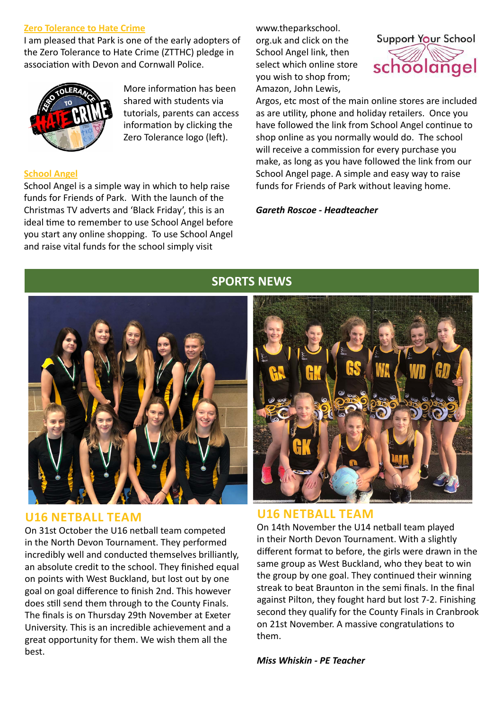#### **Zero Tolerance to Hate Crime**

I am pleased that Park is one of the early adopters of the Zero Tolerance to Hate Crime (ZTTHC) pledge in association with Devon and Cornwall Police.



More information has been shared with students via tutorials, parents can access information by clicking the Zero Tolerance logo (left).

#### **School Angel**

School Angel is a simple way in which to help raise funds for Friends of Park. With the launch of the Christmas TV adverts and 'Black Friday', this is an ideal time to remember to use School Angel before you start any online shopping. To use School Angel and raise vital funds for the school simply visit

www.theparkschool. org.uk and click on the School Angel link, then select which online store you wish to shop from; Amazon, John Lewis,



Argos, etc most of the main online stores are included as are utility, phone and holiday retailers. Once you have followed the link from School Angel continue to shop online as you normally would do. The school will receive a commission for every purchase you make, as long as you have followed the link from our School Angel page. A simple and easy way to raise funds for Friends of Park without leaving home.

*Gareth Roscoe - Headteacher*



# **U16 NETBALL TEAM**

On 31st October the U16 netball team competed in the North Devon Tournament. They performed incredibly well and conducted themselves brilliantly, an absolute credit to the school. They finished equal on points with West Buckland, but lost out by one goal on goal difference to finish 2nd. This however does still send them through to the County Finals. The finals is on Thursday 29th November at Exeter University. This is an incredible achievement and a great opportunity for them. We wish them all the best.

# **SPORTS NEWS**



# **U16 NETBALL TEAM**

On 14th November the U14 netball team played in their North Devon Tournament. With a slightly different format to before, the girls were drawn in the same group as West Buckland, who they beat to win the group by one goal. They continued their winning streak to beat Braunton in the semi finals. In the final against Pilton, they fought hard but lost 7-2. Finishing second they qualify for the County Finals in Cranbrook on 21st November. A massive congratulations to them.

*Miss Whiskin - PE Teacher*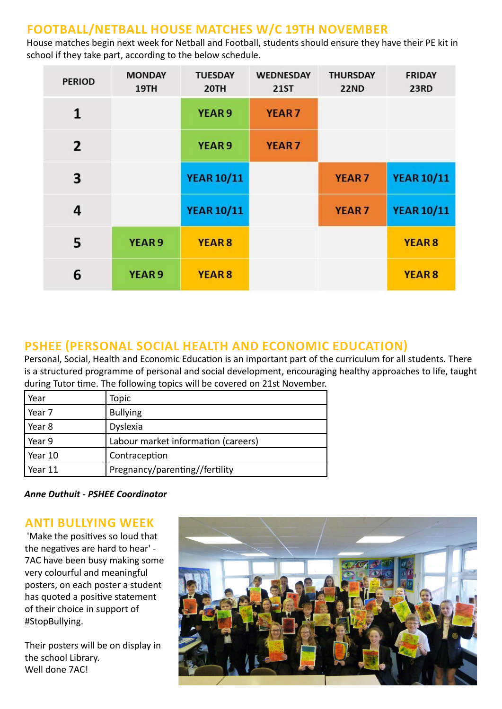# **FOOTBALL/NETBALL HOUSE MATCHES W/C 19TH NOVEMBER**

House matches begin next week for Netball and Football, students should ensure they have their PE kit in school if they take part, according to the below schedule.

| <b>PERIOD</b>  | <b>MONDAY</b><br>19TH | <b>TUESDAY</b><br>20TH | <b>WEDNESDAY</b><br><b>21ST</b> | <b>THURSDAY</b><br><b>22ND</b> | <b>FRIDAY</b><br><b>23RD</b> |
|----------------|-----------------------|------------------------|---------------------------------|--------------------------------|------------------------------|
| 1              |                       | <b>YEAR 9</b>          | <b>YEAR7</b>                    |                                |                              |
| $\overline{2}$ |                       | YEAR <sub>9</sub>      | <b>YEAR7</b>                    |                                |                              |
| 3              |                       | <b>YEAR 10/11</b>      |                                 | <b>YEAR7</b>                   | <b>YEAR 10/11</b>            |
| 4              |                       | <b>YEAR 10/11</b>      |                                 | <b>YEAR7</b>                   | <b>YEAR 10/11</b>            |
| 5              | <b>YEAR 9</b>         | YEAR <sub>8</sub>      |                                 |                                | YEAR <sub>8</sub>            |
| 6              | YEAR <sub>9</sub>     | YEAR <sub>8</sub>      |                                 |                                | <b>YEAR 8</b>                |

# **PSHEE (PERSONAL SOCIAL HEALTH AND ECONOMIC EDUCATION)**

Personal, Social, Health and Economic Education is an important part of the curriculum for all students. There is a structured programme of personal and social development, encouraging healthy approaches to life, taught during Tutor time. The following topics will be covered on 21st November.

| Year    | Topic                               |
|---------|-------------------------------------|
| Year 7  | <b>Bullying</b>                     |
| Year 8  | Dyslexia                            |
| Year 9  | Labour market information (careers) |
| Year 10 | Contraception                       |
| Year 11 | Pregnancy/parenting//fertility      |

*Anne Duthuit - PSHEE Coordinator*

# **ANTI BULLYING WEEK**

 'Make the positives so loud that the negatives are hard to hear' - 7AC have been busy making some very colourful and meaningful posters, on each poster a student has quoted a positive statement of their choice in support of #StopBullying.

Their posters will be on display in the school Library. Well done 7AC!

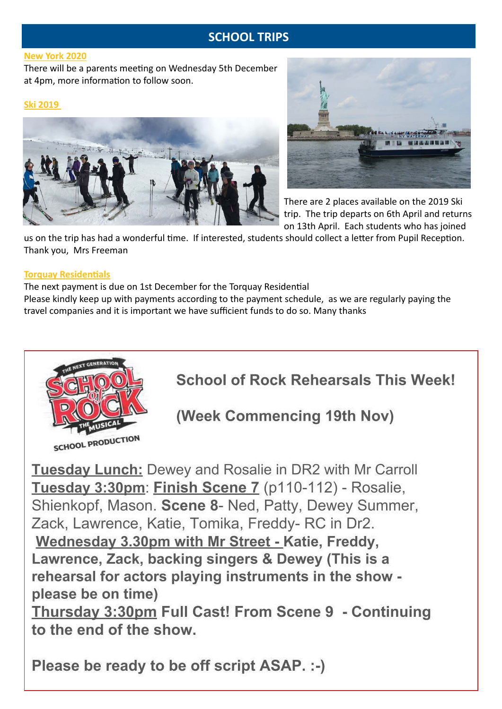# **SCHOOL TRIPS**

#### **New York 2020**

There will be a parents meeting on Wednesday 5th December at 4pm, more information to follow soon.

#### **Ski 2019**





There are 2 places available on the 2019 Ski trip. The trip departs on 6th April and returns on 13th April. Each students who has joined

us on the trip has had a wonderful time. If interested, students should collect a letter from Pupil Reception. Thank you, Mrs Freeman

#### **Torquay Residentials**

The next payment is due on 1st December for the Torquay Residential

Please kindly keep up with payments according to the payment schedule, as we are regularly paying the travel companies and it is important we have sufficient funds to do so. Many thanks



**School of Rock Rehearsals This Week!** 

(Week Commencing 19th Nov)

**Tuesday Lunch:** Dewey and Rosalie in DR2 with Mr Carroll Tuesday 3:30pm: Finish Scene 7 (p110-112) - Rosalie, Shienkopf, Mason. Scene 8- Ned, Patty, Dewey Summer, Zack, Lawrence, Katie, Tomika, Freddy-RC in Dr2. Wednesday 3.30pm with Mr Street - Katie, Freddy, Lawrence, Zack, backing singers & Dewey (This is a rehearsal for actors playing instruments in the show please be on time) Thursday 3:30pm Full Cast! From Scene 9 - Continuing

to the end of the show.

Please be ready to be off script ASAP. :-)